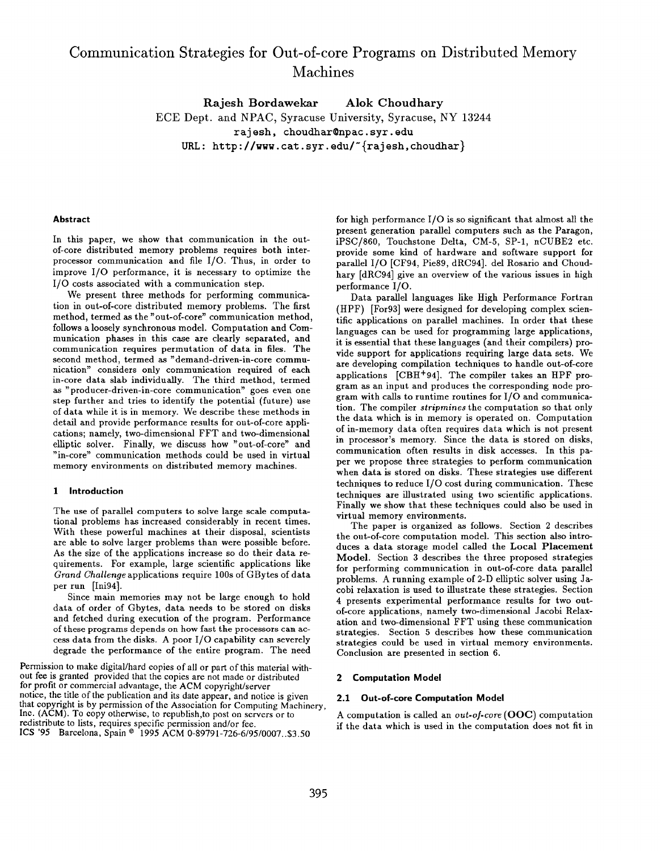# Communication Strategies for Out-of-core Programs on Distributed Memory Machines

Rajesh Bordawekar Alok Choudhary ECE Dept. and NPAC, Syracuse University, Syracuse, NY 13244 rajesh, choudhar@npac.syr.edu URL: http://www.cat.syr.edu/ $\lceil$ rajesh,choudhar}

# Abstract

In this paper, we show that communication in the outof-core distributed memory problems requires both interprocessor communication and file 1/0. Thus, in order to improve 1/0 performance, it is necessary to optimize the I/O costs associated with a communication step.

We present three methods for performing communication in out-of-core distributed memory problems. The first method, termed as the "out-of-core" communication method, follows a loosely synchronous model. Computation and Communication phases in this case are clearly separated, and communication requires permutation of data in files. The second method, termed aa "demand-driven-in-core communication" considers only communication required of each in-core data slab individually. The third method, termed as "producer-driven-in-core communication" goes even one step further and tries to identify the potential (future) use of data while it is in memory. We describe these methods in detail and provide performance results for out-of-core applications; namely, two-dimensional FFT and two-dimensional elliptic solver. Finally, we discuss how "out-of-core" and "in-core" communication methods could be used in virtual memory environments on distributed memory machines.

#### 1 introduction

The use of parallel computers to solve large scale computational problems has increased considerably in recent times. With these powerful machines at their disposal, scientists are able to solve larger problems than were possible before. As the size of the applications increase so do their data requirements. For example, large scientific applications like Grand Challenge applications require 100s of GBytes of data per run [Ini94].

Since main memories may not be large enough to hold data of order of Gbytes, data needs to be stored on disks and fetched during execution of the program. Performance of these programs depends on how fast the processors can access data from the disks. A poor I/O capability can severely degrade the performance of the entire program. The need

Permission to make digital/hard copies of all or part of this material without fee is granted provided that the copies are not made or distributed for profit or commercial advantage, the ACM copyright/server notice, the title of the publication and its date appear, and notice is given that copyright is by permission of the Association for Computing Machinery, Inc. (ACM). To copy otherwise, to republish,to post on servers or to A computation is called an out-of-core (OOC) computation redistribute to lists, requires specific permission and/or fee. lCS '95 Barcelona, Spain © 1995 ACM 0-89791-726-6/95/0007..\$3.5

for high performance 1/0 is so significant that almost all the present generation parallel computers such aa the Paragon, iPSC/860, Touchstone Delta, CM-5, SP-1, nCUBE2 etc. provide some kind of hardware and software support for parallel 1/0 [CF94, Pie89, dRC94]. del Rosario and Choudhary [dRC94] give an overview of the various issues in high performance 1/0.

Data parallel languages like High Performance Fortran (HPF) [For93] were designed for developing complex scientific applications on parallel machines. In order that these languages can be used for programming large applications, it is essential that these languages (and their compilers) provide support for applications requiring large data sets. We are developing compilation techniques to handle out-of-core applications [CBH+94]. The compiler takes an HPF program as an input and produces the corresponding node program with calls to runtime routines for 1/0 and communication. The compiler stripmines the computation so that only the data which is in memory is operated on. Computation of in-memory data often requires data which is not present in processor's memory. Since the data is stored on disks, communication often results in disk accesses. In this paper we propose three strategies to perform communication when data is stored on disks. These strategies use different techniques to reduce 1/0 cost during communication. These techniques are illustrated using two scientific applications. Finally we show that these techniques could also be used in virtual memory environments.

The paper is organized as follows. Section 2 describes the out-of-core computation model. This section also introduces a data storage model called the Local Placement Model. Section 3 describes the three proposed strategies for performing communication in out-of-core data parallel problems. A running example of 2-D elliptic solver using Jacobi relaxation is used to illustrate these strategies. Section 4 presents experimental performance results for two outof-core applications, namely two-dimensional Jacobi Relaxation and two-dimensional FFT using these communication strategies. Section 5 describes how these communication strategies could be used in virtual memory environments. Conclusion are presented in section 6.

### 2 Computation Model

# 2.1 Out-of-core Computation Model

if the data which is used in the computation does not fit in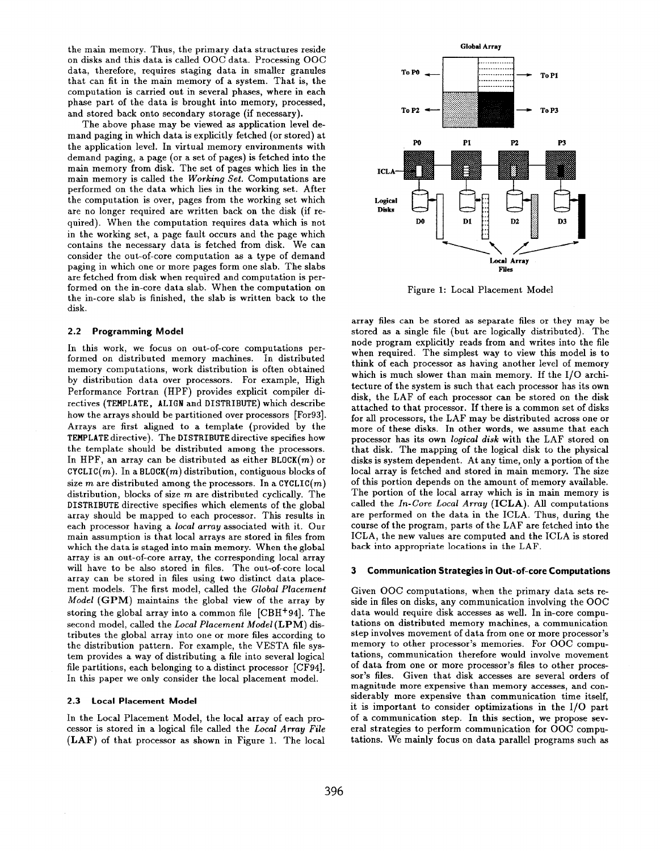the main memory. Thus, the primary data structures reside on disks and this data is called OOC data. Processing OOC data, therefore, requires staging data in smaller granules that can fit in the main memory of a system. That is, the computation is carried out in several phases, where in each phase part of the data is brought into memory, processed, and stored back onto secondary storage (if necessary).

The above phase may be viewed as application level demand paging in which data is explicitly fetched (or stored) at the application level. In virtual memory environments with demand paging, a page (or a set of pages) is fetched into the main memory from disk. The set of pages which lies in the main memory is called the Working Set. Computations are performed on the data which lies in the working set. After the computation is over, pages from the working set which are no longer required are written back on the disk (if required). When the computation requires data which is not in the working set, a page fault occurs and the page which contains the necessary data is fetched from disk. We can consider the out-of-core computation as a type of demand paging in which one or more pages form one slab. The slabs are fetched from disk when required and computation is performed on the in-core data slab. When the computation on the in-core slab is finished, the slab is written back to the disk.

### 2.2 Programming Model

In this work, we focus on out-of-core computations performed on distributed memory machines. In distributed memory computations, work distribution is often obtained by distribution data over processors. For example, High Performance Fortran (HPF) provides explicit compiler directives (TEMPLATE, ALIGN and DISTRIBUTE) which describe how the arrays should be partitioned over processors [For931. Arrays are first aligned to a template (provided by the TEMPLATE directive). The DISTRIBUTE directive specifies how the template should be distributed among the processors. In HPF, an array can be distributed as either  $BLOCK(m)$  or  $CYCLIC(m)$ . In a BLOCK $(m)$  distribution, contiguous blocks of size m are distributed among the processors. In a CYCLIC $(m)$ distribution, blocks of size  $m$  are distributed cyclically. The DISTRIBUTE directive specifies which elements of the global array should be mapped to each processor. This results in each processor having a local array associated with it. Our main assumption is that local arrays are stored in files from which the data is staged into main memory. When the global array is an out-of-core array, the corresponding local array will have to be also stored in files. The out-of-core local array can be stored in files using two distinct data placement models. The first model, called the Global Placement Model (GPM) maintains the global view of the array by storing the global array into a common file  $[CBH<sup>+</sup>94]$ . The  $\rm{second\ model},$  called the  $\it Local\ Placent\ Model\left(LPM\right)$  dis tributes the global array into one or more files according to the distribution pattern. For example, the VESTA file system provides a way of distributing a file into several logical file partitions, each belonging to a distinct processor [CF94]. In this paper we only consider the local placement model.

### 2.3 Local Placement Model

In the Local Placement Model, the local array of each processor is stored in a logical file called the Local Array File (LAF) of that processor as shown in Figure 1. The local



Figure 1: Local Placement Model

array files can be stored as separate files or they may be stored as a single file (but are logically distributed). The node program explicitly reads from and writes into the file when required. The simplest way to view this model is to think of each processor as having another level of memory which is much slower than main memory. If the 1/0 architecture of the system is such that each processor has its own disk, the LAF of each processor can be stored on the disk attached to that processor. If there is a common set of disks for all processors, the LAF may be distributed across one or more of these disks. In other words, we assume that each processor has its own logical disk with the LAF stored on that disk. The mapping of the logical disk to the physical disks is system dependent. At any time, only a portion of the local array is fetched and stored in main memory. The size of this portion depends on the amount of memory available. The portion of the local array which is in main memory is called the  $In-Core Local Array (ICLA)$ . All computations are performed on the data in the ICLA. Thus, during the course of the program, parts of the LAF are fetched into the ICLA, the new values are computed and the ICLA is stored back into appropriate locations in the LAF.

### 3 Communication Strategies in Out-of-core Computations

Given 00C computations, when the primary data sets reside in files on disks, any communication involving the 00C data would require disk accesses as well. In in-core computations on distributed memory machines, a communication step involves movement of data from one or more processor's memory to other processor's memories. For 00C computations, communication therefore would involve movement of data from one or more processor's files to other processor's files. Given that disk accesses are several orders of magnitude more expensive than memory accesses, and considerably more expensive than communication time itself, it is important to consider optimizations in the 1/0 part of a communication step. In this section, we propose several strategies to perform communication for 00C computations. We mainly focus on data parallel programs such as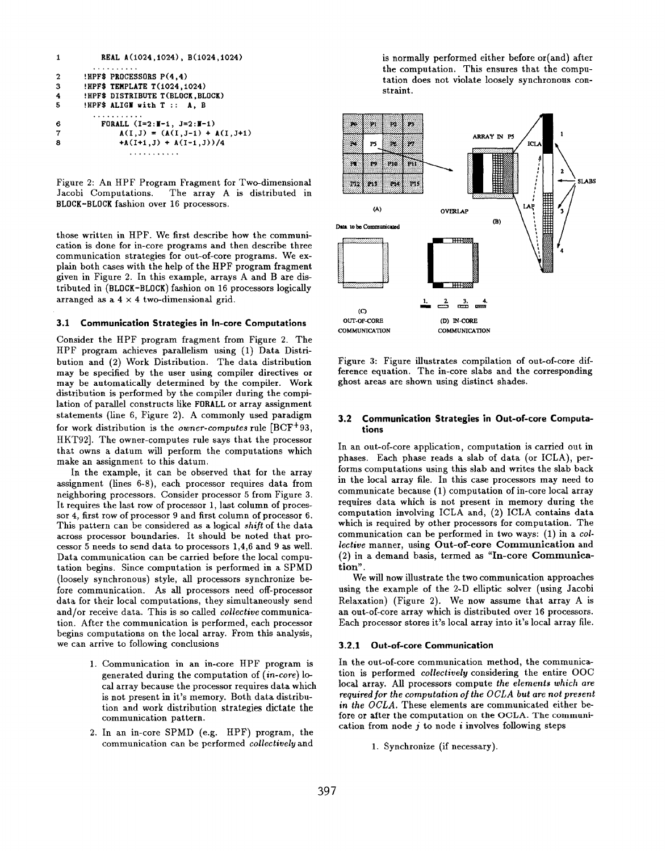| $\mathbf{1}$   | REAL A(1024, 1024), B(1024, 1024)            |
|----------------|----------------------------------------------|
|                |                                              |
| $\overline{2}$ | <b>!HPF\$ PROCESSORS <math>P(4,4)</math></b> |
| 3              | !HPF\$ TEMPLATE T(1024,1024)                 |
| 4              | !HPF\$ DISTRIBUTE T(BLOCK, BLOCK)            |
| 5              | !HPF\$ ALIGM with T :: A, B                  |
|                |                                              |
| 6              | FORALL $(I=2:I-1, J=2:I-1)$                  |
| 7              | $A(I,J) = (A(I,J-1) + A(I,J+1))$             |
| 8              | $+A(I+1,J) + A(I-1,J))/4$                    |
|                |                                              |

Figure 2: An HPF Program Fragment for Two-dimensional Jacobi Computations. The array A is distributed in BLOCK-BLOCK fashion over 16 processors.

those written in HPF. We first describe how the communication is done for in-core programs and then describe three communication strategies for out-of-core programs. We explain both cases with the help of the HPF program fragment given in Figure 2. In this example, arrays A and B are distributed in (BLOCK-BLOCK) fashion on 16 processors logically arranged as a  $4 \times 4$  two-dimensional grid.

### 3.1 Communication Strategies in In-core Computations

Consider the HPF program fragment from Figure 2. The HPF program achieves parallelism using (1) Data Distribution and (2) Work Distribution. The data distribution may be specified by the user using compiler directives or may be automatically determined by the compiler. Work distribution is performed by the compiler during the compilation of parallel constructs like FORALL or array assignment statements (line 6, Figure 2). A commonly used paradigm for work distribution is the owner-computes rule [BCF+ 93, HKT92]. The owner-computes rule says that the processor that owns a datum will perform the computations which make an assignment to this datum.

In the example, it can be observed that for the array assignment (lines 6-8), each processor requires data from neighboring processors. Consider processor 5 from Figure 3. It requires the last row of processor 1, last column of processor 4, first row of processor 9 and first column of processor 6. This pattern can be considered as a logical shift of the data across processor boundaries. It should be noted that processor 5 needs to send data to processors 1,4,6 and 9 aa well. Data communication can be carried before the local computation begins. Since computation is performed in a SPMD (loosely synchronous) style, all processors synchronize before communication. As all processors need off-processor data for their local computations, they simultaneously send and/or receive data. This is so called *collective* communication. After the communication is performed, each processor begins computations on the local array. From this analysis, we can arrive to following conclusions

- 1. Communication in an in-core HPF program is generated during the computation of  $(in-core)$  local array because the processor requires data which is not present in it's memory. Both data distribution and work distribution strategies dictate the communication pattern.
- 2. In an in-core SPMD (e.g. HPF) program, the communication can be performed collectively and

is normally performed either before or(and) after the computation. This ensures that the computation does not violate loosely synchronous constraint.



Figure 3: Figure illustrates compilation of out-of-core difference equation. The in-core slabs and the corresponding ghost areas are shown using distinct shades.

### 3.2 Communication Strategies in Out-of-core Computations

In an out-of-core application, computation is carried out in phases. Each phase reads a slab of data (or ICLA), performs computations using this slab and writes the slab back in the local array file. In this case processors may need to communicate because  $(1)$  computation of in-core local array requires data which is not present in memory during the computation involving ICLA and,  $(2)$  ICLA contains data which is required by other processors for computation. The communication can be performed in two ways: (1) in a col lective manner, using Out-of-core Communication and (2) in a demand basis, termed as "In-core Communication".

We will now illustrate the two communication approaches using the example of the 2-D elliptic solver (using Jacobi Relaxation) (Figure 2). We now assume that array A is an out-of-core array which is distributed over 16 processors. Each processor stores it's local array into it's local array tile.

### 3.2.1 Out-of-core Communication

In the out-of-core communication method, the communication is performed collectively considering the entire 00C local array. All processors compute the elements which are required for the computation of the OCLA but are not present in the OCLA. These elements are communicated either before or after the computation on the OCLA. The communication from node  $j$  to node  $i$  involves following steps

1. Synchronize (if necessary).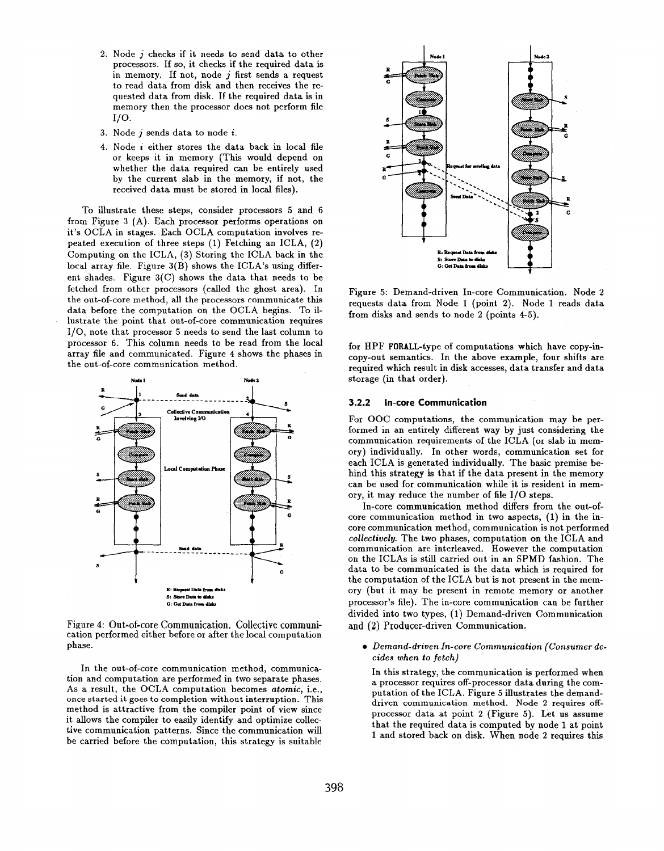- 2. Node  $j$  checks if it needs to send data to other  $i$ processors. If so, it checks if the required data is in memory. If not, node  $j$  first sends a request to read data from disk and then receives the requested data from disk. If the required data is in memory then the processor does not perform file 1/0.
- 3. Node j sends data to node i.
- 4. Node i either stores the data back in local file or keeps it in memory (This would depend on whether the data required can be entirely used by the current slab in the memory, if not, the received data must be stored in local files).

To illustrate these steps, consider processors 5 and 6 from Figure 3 (A). Each processor performs operations on it's OCLA in stages. Each OCLA computation involves repeated execution of three steps (1) Fetching an ICLA, (2) Computing on the ICLA, (3) Storing the ICLA back in the local array file. Figure  $3(B)$  shows the ICLA's using different shades. Figure 3(C) shows the data that needs to be fetched from other processors (called the ghost area). In the out-of-core method, all the processors communicate this data before the computation on the OCLA begins. To illustrate the point that out-of-core communication requires 1/0, note that processor 5 needs to send the last column to processor 6. This column needs to be read from the local array file and communicated. Figure 4 shows the phases in the out-of-core communication method.



Figure 4: Out-of-core Communication, Collective communication performed either before or after the local computation phase.

In the out-of-core communication method, communication and computation are performed in two separate phases. As a result, the OCLA computation becomes atomic, i.e., once started it goes to completion without interruption. This method is attractive from the compiler point of view since it allows the compiler to easily identify and optimize collective communication patterns. Since the communication will be carried before the computation, this strategy is suitable



Figure 5: Demand-driven In-core Communication. Node 2 requests data from Node 1 (point 2). Node 1 reads data from disks and sends to node 2 (points 4-5).

for HPF FORALL-type of computations which have copy-incopy-out semantics. In the above example, four shifts are required which result in disk accesses, data transfer and data storage (in that order).

### 3,2.2 In-core Communication

For 00C computations, the communication may be performed in an entirely different way by just considering the communication requirements of the ICLA (or slab in memory) individually. In other words, communication set for each ICLA is generated individually. The basic premise behind this strategy is that if the data present in the memory can be used for communication while it is resident in memory, it may reduce the number of file 1/0 steps.

In-core communication method differs from the out-ofcore communication method in two aspects, (1) in the incore communication method, communication is not performed collectively. The two phases, computation on the ICLA and communication are interleaved. However the computation on the ICLAS is still carried out in an SPMD fashion. The data to be communicated is the data which is required for the computation of the ICLA but is not present in the memory (but it may be present in remote memory or another processor's file). The in-core communication can be further divided into two types, (1) Demand-driven Communication and (2) Producer-driven Communication.

c Demand-driven In-core Communication (Consumer decides when to fetch)

In this strategy, the communication is performed when a processor requires off-processor data during the computation of the ICLA. Figure 5 illustrates the demanddriven communication method. Node 2 requires offprocessor data at point 2 (Figure 5). Let us assume that the required data is computed by node 1 at point 1 and stored back on disk. When node 2 requires this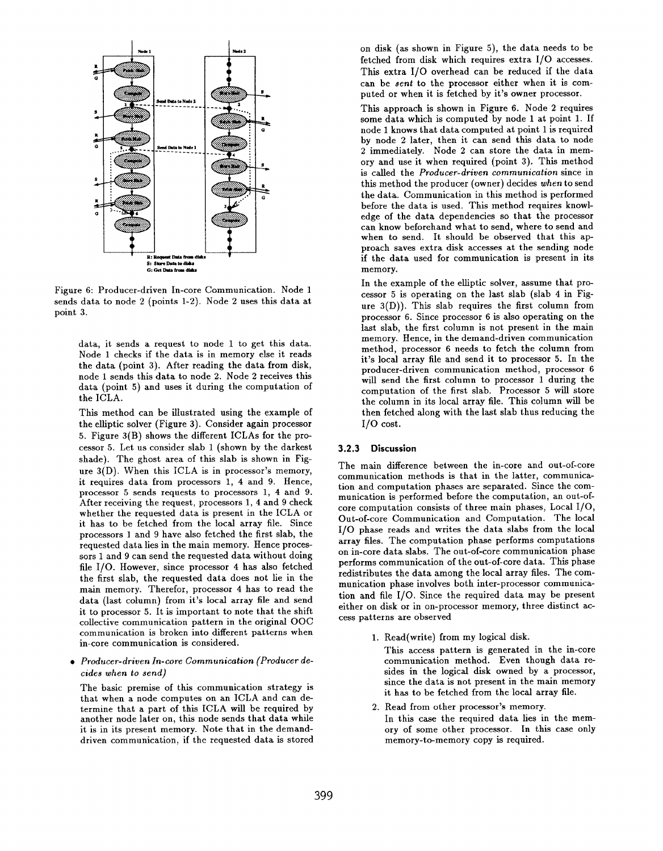

Figure 6: Producer-driven In-core Communication. Node 1 sends data to node 2 (points 1-2). Node 2 uses this data at point 3.

data, it sends a request to node 1 to get this data. Node 1 checks if the data is in memory else it reads the data (point 3). After reading the data from disk, node 1 sends this data to node 2. Node 2 receives this data (point 5) and uses it during the computation of the ICLA.

This method can be illustrated using the example of the elliptic solver (Figure 3). Consider again processor 5. Figure 3(B) shows the different ICLAS for the processor 5. Let us consider slab 1 (shown by the darkest shade). The ghost area of this slab is shown in Figure 3(D). When this ICLA is in processor's memory, it requires data from processors 1, 4 and 9. Hence, processor 5 sends requests to processors 1, 4 and 9. After receiving the request, processors 1, 4 and 9 check whether the requested data is present in the ICLA or it has to be fetched from the local array file. Since processors 1 and 9 have also fetched the first slab, the requested data lies in the main memory. Hence processors I and 9 can send the requested data without doing file 1/0. However, since processor 4 has also fetched the first slab, the requested data does not lie in the main memory. Therefor, processor 4 has to read the data (last column) from it's local array file and send it to processor 5. It is important to note that the shift collective communication pattern in the original 00C communication is broken into different patterns when in-core communication is considered.

 $\bullet$  -Producer-driven In-core Communication (Producer de cides when to send)

The basic premise of this communication strategy is that when a node computes on an ICLA and can determine that a part of this ICLA will be required by another node later on, this node sends that data while it is in its present memory. Note that in the demanddriven communication, if the requested data is stored on disk (as shown in Figure 5), the data needs to be fetched from disk which requires extra 1/0 accesses. This extra 1/0 overhead can be reduced if the data can be sent to the processor either when it is computed or when it is fetched by it's owner processor.

This approach is shown in Figure 6. Node 2 requires some data which is computed by node 1 at point 1. If node 1 knows that data computed at point 1 is required by node 2 later, then it can send this data to node 2 immediately. Node 2 can store the data in memory and use it when required (point 3). This method is called the Producer-driven communication since in this method the producer (owner) decides when to send the data. Communication in this method is performed before the data is used. This method requires knowledge of the data dependencies so that the processor can know beforehand what to send, where to send and when to send. It should be observed that this approach saves extra disk accesses at the sending node if the data used for communication is present in its memory.

In the example of the elliptic solver, assume that processor 5 is operating on the last slab (slab 4 in Figure  $3(D)$ ). This slab requires the first column from processor 6. Since processor 6 is also operating on the last slab, the first column is not present in the main memory. Hence, in the demand-driven communication method, processor 6 needs to fetch the column from it's local array file and send it to processor 5. In the producer-driven communication method, processor 6 will send the first column to processor 1 during the computation of the first slab. Processor 5 will store the column in its local array file. This column will be then fetched along with the last slab thus reducing the 1/0 cost.

# 3.2.3 Discussion

The main difference between the in-core and out-of-core communication methods is that in the latter, communication and computation phases are separated. Since the communication is performed before the computation, an out-ofcore computation consists of three main phases, Local 1/0, Out-of-core Communication and Computation. The local 1/0 phase reads and writes the data slabs from the local array files. The computation phase performs computations on in-core data slabs. The out-of-core communication phase performs communication of the out-of-core data. This phase redistributes the data among the local array files. The communication phase involves both inter-processor communication and file 1/0. Since the required data may be present either on disk or in on-processor memory, three distinct access patterns are observed

1. Read(write) from my logical disk.

This access pattern is generated in the in-core communication method. Even though data resides in the logical disk owned by a processor, since the data is not present in the main memory it has to be fetched from the local array file.

2. Read from other processor's memor In this case the required data lies in the memory of some other processor. In this case only memory-to-memory copy is required.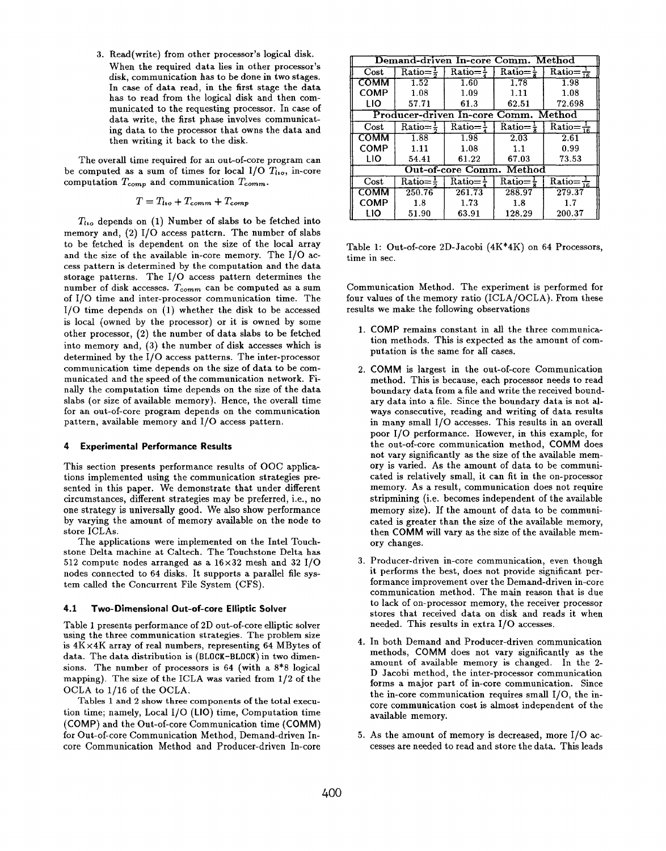3. Read(write) from other processor's logical disk. When the required data lies in other processor's disk, communication has to be done in two stages. In case of data read, in the first stage the data has to read from the logical disk and then communicated to the requesting processor. In case of data write, the first phase involves communicating data to the processor that owns the data and then writing it back to the disk.

The overall time required for an out-of-core program can be computed as a sum of times for local  $I/O$   $T_{li}$ , in-core computation  $T_{comp}$  and communication  $T_{comm}$ .

$$
T = T_{\text{to}} + T_{\text{comm}} + T_{\text{comp}}
$$

 $T_{\text{to}}$  depends on (1) Number of slabs to be fetched into memory and, (2) 1/0 access pattern. The number of slabs to be fetched is dependent on the size of the local array and the size of the available in-core memory. The 1/0 access pattern is determined by the computation and the data storage patterns. The 1/0 access pattern determines the number of disk accesses.  $T_{comm}$  can be computed as a sum of 1/0 time and inter-processor communication time. The 1/0 time depends on (1) whether the disk to be accessed is local (owned by the processor) or it is owned by some other processor, (2) the number of data slabs to be fetched into memory and, (3) the number of disk accesses which is determined by the 1/0 access patterns. The inter-processor communication time depends on the size of data to be communicated and the speed of the communication network. Finally the computation time depends on the size of the data slabs (or size of available memory). Hence, the overall time for an out-of-core program depends on the communication pattern, available memory and 1/0 access pattern.

### 4 Experimental Performance Results

This section presents performance results of 00C applications implemented using the communication strategies presented in this paper. We demonstrate that under different circumstances, different strategies may be preferred, i.e., no one strategy is universally good. We also show performance by varying the amount of memory available on the node to store ICLAS.

The applications were implemented on the Intel Touchstone Delta machine at Caltech. The Touchstone Delta has 512 compute nodes arranged as a  $16\times32$  mesh and 32 I/O nodes connected to 64 disks. It supports a parallel file system called the Concurrent File System (CFS).

# 4.1 Two-Dimensional Out-of-core Elliptic Solver

Table 1 presents performance of 2D out-of-core elliptic solver using the three communication strategies. The problem size is 4K x4K array of real numbers, representing 64 MBytes of data. The data distribution is (BLOCK-BLOCK) in two dimensions. The number of processors is 64 (with a 8\*8 logical mapping). The size of the ICLA waa varied from 1/2 of the OCLA to 1/16 of the OCLA.

Tables 1 and 2 show three components of the total execution time; namely, Local  $I/O$  (LIO) time, Computation time (COMP) and the Out-of-core Communication time (COMM) for Out-of-core Communication Method, Demand-driven Incore Communication Method and Producer-driven In-core

| Demand-driven In-core Comm. Method   |                         |                       |                       |                                          |  |
|--------------------------------------|-------------------------|-----------------------|-----------------------|------------------------------------------|--|
| Cost                                 | Ratio $=$ $\frac{1}{6}$ | $Ratio = \frac{1}{4}$ | Ratio $=\frac{1}{5}$  | Ratio= $\frac{1}{16}$                    |  |
| сомм                                 | 1.52                    | 1.60                  | 1.78                  | 1.98                                     |  |
| <b>COMP</b>                          | 1.08                    | 1.09                  | 1.11                  | 1.08                                     |  |
| LIO                                  | 57.71                   | 61.3                  | 62.51                 | 72.698                                   |  |
| Producer-driven In-core Comm. Method |                         |                       |                       |                                          |  |
| Cost                                 | Ratio $=\frac{1}{2}$    | $Ratio =$             | $Ratio = \frac{1}{5}$ | $\overline{\text{Ratio}} = \frac{1}{16}$ |  |
| сомм                                 | 1.88                    | 1.98                  | 2.03                  | 2.61                                     |  |
| COMP                                 | 1.11                    | 1.08                  | 1.1                   | 0.99                                     |  |
| LIO                                  | 54.41                   | 61.22                 | 67.03                 | 73.53                                    |  |
| <b>Out-of-core Comm. Method</b>      |                         |                       |                       |                                          |  |
| Cost                                 | Ratio $=\frac{1}{2}$    | $Ratio = \frac{1}{4}$ | $Ratio = \frac{1}{2}$ | $\overline{\text{Ratio}} = \frac{1}{16}$ |  |
| сомм                                 | 250.76                  | 261.73                | 288.97                | 279.37                                   |  |
| <b>COMP</b>                          | 1.8                     | 1.73                  | 1.8                   | 1.7                                      |  |
| LIO                                  | 51.90                   | 63.91                 | 128.29                | 200.37                                   |  |

Table 1: Out-of-core 2D-Jacobi  $(4K*4K)$  on 64 Processors, time in sec.

Communication Method. The experiment is performed for four values of the memory ratio (ICLA/OCLA). From these results we make the following observations

- 1. COMP remains constant in all the three communic tion methods. This is expected as the amount of computation is the same for alI cases.
- 2. COMM is largest in the out-of-core Communica method. This is because, each processor needs to read boundary data from a file and write the received boundary data into a file. Since the boundary data is not always consecutive, reading and writing of data results in many small 1/0 accesses. This results in an overall poor I/O performance. However, in this example, for the out-of-core communication method, COMM does not vary significantly aa the size of the available memory is varied. As the amount of data to be communicated is relatively small, it can fit in the on-processor memory. As a result, communication does not require stripmining (i.e. becomes independent of the available memory size). If the amount of data to be communicated is greater than the size of the available memory, then COMM will vary as the size of the available memory changes.
- 3. Producer-driven in-core communication, even thoug it performs the best, does not provide significant performance improvement over the Demand-driven in-core communication method. The main reason that is due to lack of on-processor memory, the receiver processor stores that received data on disk and reads it when needed. This results in extra 1/O accesses.
- 4. In both Demand and Producer-driven communication methods, COMM does not vary significantly as the amount of available memory is changed. In the 2- D Jacobi method, the inter-processor communication forms a major part of in-core communication. Since the in-core communication requires small 1/0, the incore communication cost is almost independent of the available memory.
- 5. As the amount of memory is decreased, more 1/0 accesses are needed to read and store the data. This leads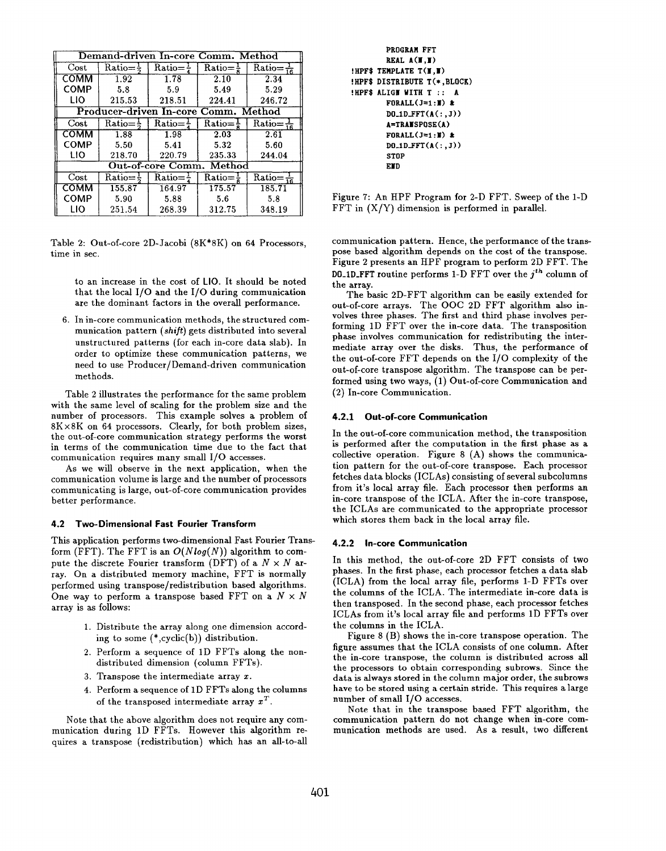| Demand-driven In-core Comm. Method   |                       |                       |                                         |                                          |  |
|--------------------------------------|-----------------------|-----------------------|-----------------------------------------|------------------------------------------|--|
| $\rm Cost$                           | $Ratio = \frac{1}{2}$ | Ratio $=\frac{1}{4}$  | $\overline{\text{Ratio}} = \frac{1}{2}$ | $\text{Ratio} = \frac{1}{16}$            |  |
| сомм                                 | 1.92                  | 1.78                  | 2.10                                    | 2.34                                     |  |
| <b>COMP</b>                          | 5.8                   | 5.9                   | 5.49                                    | 5.29                                     |  |
| LIO                                  | 215.53                | 218.51                | 224.41                                  | 246.72                                   |  |
| Producer-driven In-core Comm. Method |                       |                       |                                         |                                          |  |
| Cost                                 | $Ratio = \frac{1}{2}$ | $Ratio = \frac{1}{4}$ | $Ratio = \frac{1}{6}$                   | $\text{Ratio} = \frac{1}{16}$            |  |
| сомм                                 | 1.88                  | 1.98                  | 2.03                                    | 2.61                                     |  |
| <b>COMP</b>                          | 5.50                  | 5.41                  | 5.32                                    | 5.60                                     |  |
| LIO                                  | 218.70                | 220.79                | 235.33                                  | 244.04                                   |  |
| Method<br>Out-of-core Comm.          |                       |                       |                                         |                                          |  |
| Cost                                 | $Ratio = \frac{1}{5}$ | $Ratio =$             | $Ratio =$                               | $\overline{\text{Ratio}} = \frac{1}{16}$ |  |
| сомм                                 | 155.87                | 164.97                | 175.57                                  | 185.71                                   |  |
| <b>COMP</b>                          | 5.90                  | 5.88                  | 5.6                                     | 5.8                                      |  |
| LIO                                  | 251.54                | 268.39                | 312.75                                  | 348.19                                   |  |

Table 2: Out-of-core 2D-Jacobi (8K\*8K) on 64 Processors, time in sec.

to an increase in the cost of LIO. It should be noted that the local 1/0 and the 1/0 during communication are the dominant factors in the overall performance.

6. In in-core communication methods, the structured communication pattern (shift) gets distributed into several unstructured patterns (for each in-core data slab). In order to optimize these communication patterns, we need to use Producer/Demand-driven communication methods.

Table 2 illustrates the performance for the same problem with the same level of scaling for the problem size and the number of processors. This example solves a problem of 8K x 8K on 64 processors. Clearly, for both problem sizes, the out-of-core communication strategy performs the worst in terms of the communication time due to the fact that communication requires many small 1/0 accesses.

As we will observe in the next application, when the communication volume is large and the number of processors communicating is large, out-of-core communication provides better performance.

## 4.2 Two-Dimensional Fast Fourier Transform

This application performs two-dimensional Fast Fourier Transform (FFT). The FFT is an  $O(Nlog(N))$  algorithm to compute the discrete Fourier transform (DFT) of a  $N \times N$  array. On a distributed memory machine, FFT is normally performed using transpose/redistribution based algorithms. One way to perform a transpose based FFT on a  $N \times N$ array is as follows:

- 1. Distribute the array along one dimension according to some  $(*.cyclic(b))$  distribution.
- 2. Perform a sequence of lD FFTs along the nondistributed dimension (column FFTs).
- 3. Transpose the intermediate array  $x$ .
- 4. Perform a sequence of lD FFTs along the columns of the transposed intermediate array  $x^T$ .

Note that the above algorithm does not require any communication during 1D FFTs. However this algorithm requires a transpose (redistribution) which has an all-to-all

PROGRAM FFT REAL  $A(\mathbf{I},\mathbf{I})$ ! HPF\$ TEMPLATE T (M , H) ! HPF\$ DISTRIBUTE T(\* ,BLOCK) !HPF\$ ALIGH WITH T :: A FORALL $(J=1 : I)$  &  $D0_{\text{-}}1D_{\text{-}}FFT(A(:,J))$ A=TRAHSPOSE (A ) FORALL $(I=1 : 1)$  &  $D0_1D_FFT(A(:,J))$ **STOP** END

Figure 7: An HPF Program for 2-D FFT. Sweep of the 1-D FFT in  $(X/Y)$  dimension is performed in parallel.

communication pattern. Hence, the performance of the transpose based algorithm depends on the cost of the transpose. Figure 2 presents an HPF program to perform 2D FFT. The DO-1D-FFT routine performs 1-D FFT over the  $j<sup>th</sup>$  column of the array.

The basic 2D-FFT algorithm can be easily extended for out-of-core arrays. The 00C 2D FFT algorithm also involves three phases. The first and third phase involves performing lD FFT over the in-core data. The transposition phase involves communication for redistributing the intermediate array over the disks. Thus, the performance of the out-of-core FFT depends on the 1/0 complexity of the out-of-core transpose algorithm. The transpose can be performed using two ways, (1) Out-of-core Communication and (2) In-core Communication.

# 4.2.1 Out-of-core Communication

In the out-of-core communication method, the transposition is performed after the computation in the first phase as a collective operation. Figure 8 (A) shows the communication pattern for the out-of-core transpose. Each processor fetches data blocks (ICLAS) consisting of several subcolumns from it's local array file. Each processor then performs an in-core transpose of the ICLA. After the in-core transpose, the ICLAS are communicated to the appropriate processor which stores them back in the local array file.

### 4.2.2 In-core Communication

In this method, the out-of-core 2D FFT consists of two phases. In the first phase, each processor fetches a data slab (ICLA) from the local array file, performs 1-D FFTs over the columns of the ICLA. The intermediate in-core data is then transposed. In the second phase, each processor fetches ICLAS from it's local array file and performs lD FFTs over the columns in the ICLA.

Figure 8 (B) shows the in-core transpose operation. The figure assumes that the ICLA consists of one column. After the in-core transpose, the column is distributed across all the processors to obtain corresponding subrows. Since the data is always stored in the column major order, the subrows have to be stored using a certain stride. This requires a large number of small 1/0 accesses.

Note that in the transpose baaed FFT algorithm, the communication pattern do not change when in-core communication methods are used. As a result, two different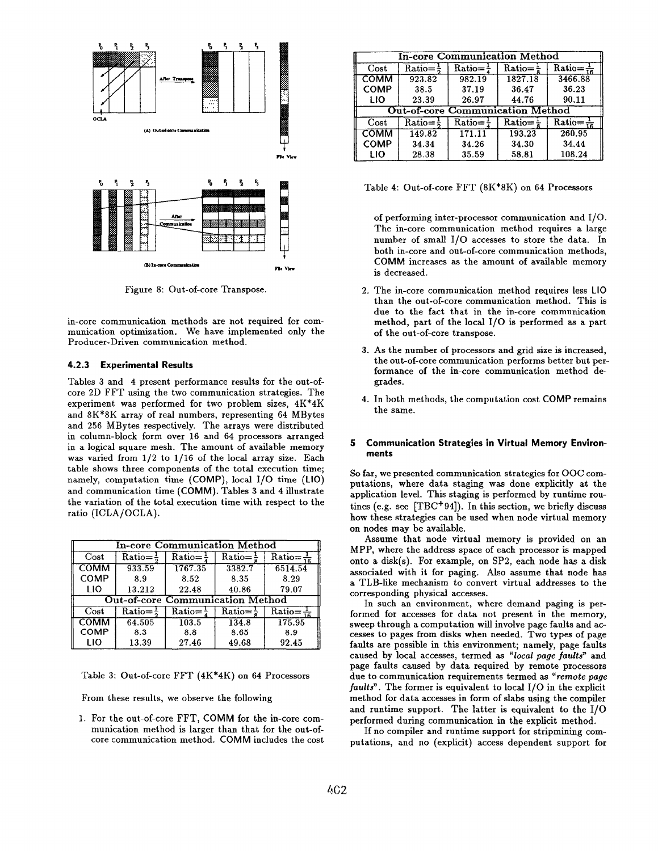

Figure 8: Out-of-core Transpose.

in-core communication methods are not required for communication optimization. We have implemented only the Producer-Driven communication method.

# 4.2.3 Experimental Results

Tables 3 and 4 present performance results for the out-ofcore ZD FFT using the two communication strategies. The experiment was performed for two problem sizes, 4K\*4K and 8K\*8K array of real numbers, representing 64 MBytes and 256 MBytes respectively. The arrays were distributed in column-block form over 16 and 64 processors arranged in a logical square mesh. The amount of available memory was varied from 1/2 to 1/16 of the local array size. Each table shows three components of the total execution time; namely, computation time  $(COMP)$ , local  $I/O$  time  $(LIO)$ and communication time (COMM). Tables 3 and 4 illustrate the variation of the total execution time with respect to the ratio (ICLA/OCLA).

| In-core Communication Method            |                       |             |                       |                                          |  |
|-----------------------------------------|-----------------------|-------------|-----------------------|------------------------------------------|--|
| Cost                                    | Ratio=                | Ratio=      | $Ratio =$             | $\overline{\text{Ratio}} = \frac{1}{16}$ |  |
| COMM                                    | 933.59                | 1767.35     | 3382.7                | 6514.54                                  |  |
| COMP                                    | 8.9                   | 8.52        | 8.35                  | 8.29                                     |  |
| LIO                                     | 13.212                | 22.48       | 40.86                 | 79.07                                    |  |
| <b>Out-of-core Communication Method</b> |                       |             |                       |                                          |  |
| Cost                                    | $Ratio = \frac{1}{2}$ | $Ratio = -$ | $Ratio = \frac{1}{2}$ | $\overline{\text{Ratio}} = \frac{1}{16}$ |  |
| <b>COMM</b>                             | 64.505                | 103.5       | 134.8                 | 175.95                                   |  |
| COMP                                    | 8.3                   | 8.8         | 8.65                  | 8.9                                      |  |
| LIO                                     | 13.39                 | 27.46       | 49.68                 | 92.45                                    |  |

Table 3: Out-of-core FFT (4K\*4K) on 64 Processors

From these results, we observe the following

1. For the out-of-core FFT, COMM for the in-core communication method is larger than that for the out-ofcore communication method. COMM includes the cost

| <b>In-core Communication Method</b>     |                      |                                         |                       |                                          |  |
|-----------------------------------------|----------------------|-----------------------------------------|-----------------------|------------------------------------------|--|
| Cost                                    | Ratio $=\frac{1}{5}$ | $\overline{\text{Ratio}} = \frac{1}{4}$ | $Ratio = \frac{1}{6}$ | $\overline{\text{Ratio}} = \frac{1}{16}$ |  |
| COMM                                    | 923.82               | 982.19                                  | 1827.18               | 3466.88                                  |  |
| <b>COMP</b>                             | 38.5                 | 37.19                                   | 36.47                 | 36.23                                    |  |
| LIO                                     | 23.39                | 26.97                                   | 44.76                 | 90.11                                    |  |
| <b>Out-of-core Communication Method</b> |                      |                                         |                       |                                          |  |
| Cost                                    | Ratio $=\frac{1}{2}$ | $Ratio = \frac{1}{2}$                   | Ratio= $\frac{1}{6}$  | $\overline{\text{Ratio}} = \frac{1}{16}$ |  |
| <b>COMM</b>                             | 149.82               | 171.11                                  | 193.23                | 260.95                                   |  |
| <b>COMP</b>                             | 34.34                | 34.26                                   | 34.30                 | 34.44                                    |  |
| LIO                                     | 28.38                | 35.59                                   | 58.81                 | 108.24                                   |  |

Table 4: Out-of-core FFT (8K\*8K) on 64 Processors

of performing inter-processor communication and 1/0. The in-core communication method requires a large number of small 1/0 accesses to store the data. In both in-core and out-of-core communication methods, COMM increases as the amount of available memory is decreased.

- 2. The in-core communication method requires less LIO than the out-of-core communication method. This is due to the fact that in the in-core communication method, part of the local 1/0 is performed aa a part of the out-of-core transpose.
- 3. As the number of processors and grid size is increase the out-of-core communication performs better but performance of the in-core communication method degrades.
- 4. In both methods, the computation cost COMP remain the same.

# 5 Communication Strategies in Virtual Memory Environments

So far, we presented communication strategies for 00C computations, where data staging was done explicitly at the application level. This staging is performed by runtime routines (e.g. see  $[TBC^+94]$ ). In this section, we briefly discuss how these strategies can be used when node virtual memory on nodes may be available.

Assume that node virtual memory is provided on an MPP, where the address space of each processor is mapped onto a disk(s). For example, on SP2, each node haa a disk associated with it for paging. Also assume that node has a TLB-like mechanism to convert virtual addresses to the corresponding physical accesses.

In such an environment, where demand paging is performed for accesses for data not present in the memory, sweep through a computation will involve page faults and accesses to pages from disks when needed. Two types of page faults are possible in this environment; namely, page faults caused by local accesses, termed as "local page faults" and page faults caused by data required by remote processors due to communication requirements termed as "remote page  $faults$ . The former is equivalent to local  $I/O$  in the explicit method for data accesses in form of slabs using the compiler and runtime support. The latter is equivalent to the 1/0 performed during communication in the explicit method.

If no compiler and runtime support for stripmining computations, and no (explicit) access dependent support for